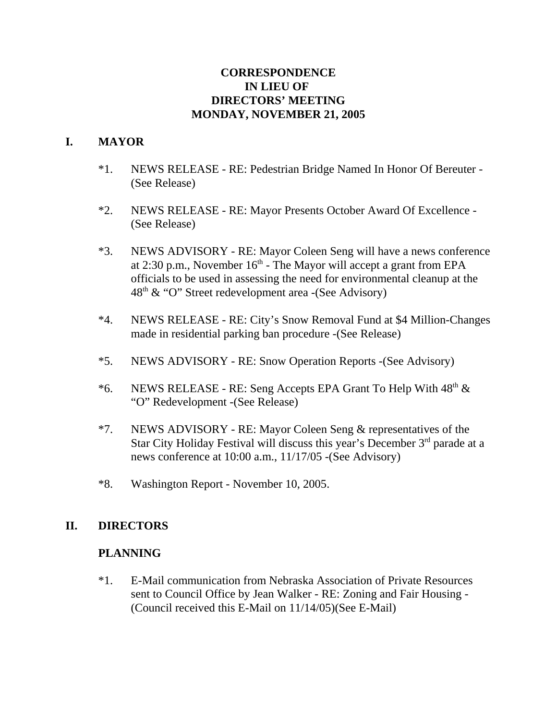## **CORRESPONDENCE IN LIEU OF DIRECTORS' MEETING MONDAY, NOVEMBER 21, 2005**

## **I. MAYOR**

- \*1. NEWS RELEASE RE: Pedestrian Bridge Named In Honor Of Bereuter (See Release)
- \*2. NEWS RELEASE RE: Mayor Presents October Award Of Excellence (See Release)
- \*3. NEWS ADVISORY RE: Mayor Coleen Seng will have a news conference at 2:30 p.m., November  $16<sup>th</sup>$  - The Mayor will accept a grant from EPA officials to be used in assessing the need for environmental cleanup at the  $48<sup>th</sup>$  & "O" Street redevelopment area -(See Advisory)
- \*4. NEWS RELEASE RE: City's Snow Removal Fund at \$4 Million-Changes made in residential parking ban procedure -(See Release)
- \*5. NEWS ADVISORY RE: Snow Operation Reports -(See Advisory)
- \*6. NEWS RELEASE RE: Seng Accepts EPA Grant To Help With 48th & "O" Redevelopment -(See Release)
- \*7. NEWS ADVISORY RE: Mayor Coleen Seng & representatives of the Star City Holiday Festival will discuss this year's December 3rd parade at a news conference at 10:00 a.m., 11/17/05 -(See Advisory)
- \*8. Washington Report November 10, 2005.

## **II. DIRECTORS**

#### **PLANNING**

\*1. E-Mail communication from Nebraska Association of Private Resources sent to Council Office by Jean Walker - RE: Zoning and Fair Housing - (Council received this E-Mail on 11/14/05)(See E-Mail)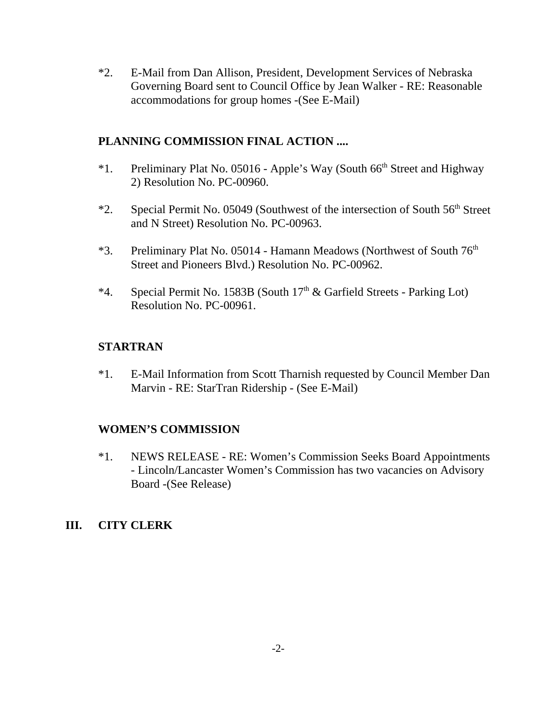\*2. E-Mail from Dan Allison, President, Development Services of Nebraska Governing Board sent to Council Office by Jean Walker - RE: Reasonable accommodations for group homes -(See E-Mail)

## **PLANNING COMMISSION FINAL ACTION ....**

- \*1. Preliminary Plat No. 05016 Apple's Way (South 66<sup>th</sup> Street and Highway 2) Resolution No. PC-00960.
- \*2. Special Permit No. 05049 (Southwest of the intersection of South  $56<sup>th</sup>$  Street and N Street) Resolution No. PC-00963.
- $*3.$  Preliminary Plat No. 05014 Hamann Meadows (Northwest of South  $76<sup>th</sup>$ Street and Pioneers Blvd.) Resolution No. PC-00962.
- \*4. Special Permit No. 1583B (South  $17<sup>th</sup>$  & Garfield Streets Parking Lot) Resolution No. PC-00961.

# **STARTRAN**

\*1. E-Mail Information from Scott Tharnish requested by Council Member Dan Marvin - RE: StarTran Ridership - (See E-Mail)

## **WOMEN'S COMMISSION**

\*1. NEWS RELEASE - RE: Women's Commission Seeks Board Appointments - Lincoln/Lancaster Women's Commission has two vacancies on Advisory Board -(See Release)

# **III. CITY CLERK**